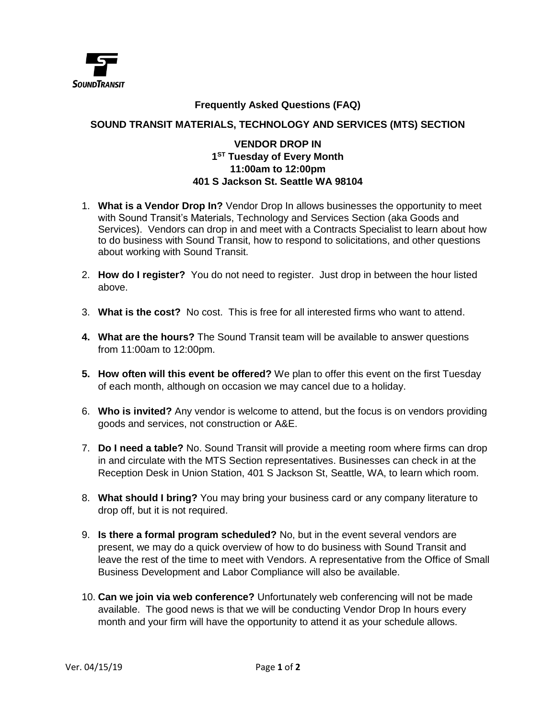

## **Frequently Asked Questions (FAQ)**

## **SOUND TRANSIT MATERIALS, TECHNOLOGY AND SERVICES (MTS) SECTION**

## **VENDOR DROP IN 1 ST Tuesday of Every Month 11:00am to 12:00pm 401 S Jackson St. Seattle WA 98104**

- 1. **What is a Vendor Drop In?** Vendor Drop In allows businesses the opportunity to meet with Sound Transit's Materials, Technology and Services Section (aka Goods and Services). Vendors can drop in and meet with a Contracts Specialist to learn about how to do business with Sound Transit, how to respond to solicitations, and other questions about working with Sound Transit.
- 2. **How do I register?** You do not need to register. Just drop in between the hour listed above.
- 3. **What is the cost?** No cost. This is free for all interested firms who want to attend.
- **4. What are the hours?** The Sound Transit team will be available to answer questions from 11:00am to 12:00pm.
- **5. How often will this event be offered?** We plan to offer this event on the first Tuesday of each month, although on occasion we may cancel due to a holiday.
- 6. **Who is invited?** Any vendor is welcome to attend, but the focus is on vendors providing goods and services, not construction or A&E.
- 7. **Do I need a table?** No. Sound Transit will provide a meeting room where firms can drop in and circulate with the MTS Section representatives. Businesses can check in at the Reception Desk in Union Station, 401 S Jackson St, Seattle, WA, to learn which room.
- 8. **What should I bring?** You may bring your business card or any company literature to drop off, but it is not required.
- 9. **Is there a formal program scheduled?** No, but in the event several vendors are present, we may do a quick overview of how to do business with Sound Transit and leave the rest of the time to meet with Vendors. A representative from the Office of Small Business Development and Labor Compliance will also be available.
- 10. **Can we join via web conference?** Unfortunately web conferencing will not be made available. The good news is that we will be conducting Vendor Drop In hours every month and your firm will have the opportunity to attend it as your schedule allows.